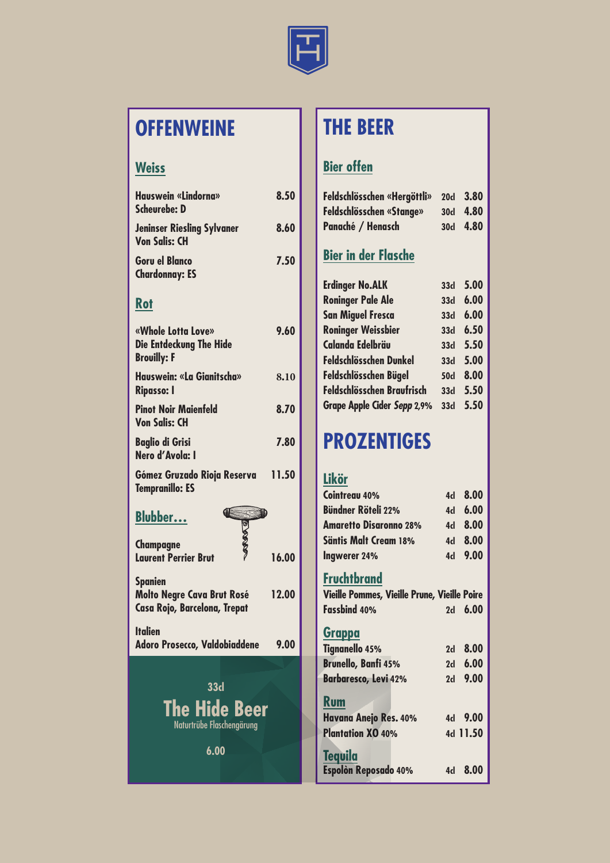

## **OFFENWEINE**

#### **Weiss**

| <b>Hauswein «Lindorna»</b><br><b>Scheurebe: D</b>                                   | 8.50  |
|-------------------------------------------------------------------------------------|-------|
| <b>Jeninser Riesling Sylvaner</b><br><b>Von Salis: CH</b>                           | 8.60  |
| <b>Goru el Blanco</b><br><b>Chardonnay: ES</b>                                      | 7.50  |
| <u>Rot</u>                                                                          |       |
| «Whole Lotta Love»<br><b>Die Entdeckung The Hide</b><br><b>Brouilly: F</b>          | 9.60  |
| Hauswein: «La Gianitscha»<br><b>Ripasso: I</b>                                      | 8.10  |
| <b>Pinot Noir Maienfeld</b><br><b>Von Salis: CH</b>                                 | 8.70  |
| <b>Baglio di Grisi</b><br>Nero d'Avola: I                                           | 7.80  |
| Gómez Gruzado Rioja Reserva<br><b>Tempranillo: ES</b>                               | 11.50 |
| Œ<br>Ð<br><b>Blubber</b><br>ð                                                       |       |
| <b>Champagne</b><br><b>Laurent Perrier Brut</b>                                     | 16.00 |
| <b>Spanien</b><br><b>Molto Negre Cava Brut Rosé</b><br>Casa Rojo, Barcelona, Trepat | 12.00 |
| <b>Italien</b><br><b>Adoro Prosecco, Valdobiaddene</b>                              | 9.00  |
| 33 <sub>d</sub><br><b>The Hide Beer</b><br>Naturtrübe Flaschengärung<br>6.00        |       |
|                                                                                     |       |

## **THE BEER**

## **Bier offen**

| Feldschlösschen «Hergöttli»     | 20 <sub>d</sub> | 3.80 |
|---------------------------------|-----------------|------|
| <b>Feldschlösschen «Stange»</b> | <b>30d</b>      | 4.80 |
| Panaché / Henasch               | 30 <sub>d</sub> | 4.80 |
| <b>Bier in der Flasche</b>      |                 |      |
| <b>Erdinger No.ALK</b>          | 33 <sub>d</sub> | 5.00 |
| <b>Roninger Pale Ale</b>        | 33 <sub>d</sub> | 6.00 |
| <b>San Miguel Fresca</b>        | 33 <sub>d</sub> | 6.00 |
| <b>Roninger Weissbier</b>       | 33 <sub>d</sub> | 6.50 |

| <b>Roninger Weissbier</b>          | <b>33d</b>      | 6.50     |
|------------------------------------|-----------------|----------|
| <b>Calanda Edelbräu</b>            | 33 <sub>d</sub> | 5.50     |
| <b>Feldschlösschen Dunkel</b>      | 33 <sub>d</sub> | 5.00     |
| Feldschlösschen Bügel              | <b>50d</b>      | 8.00     |
| Feldschlösschen Braufrisch         | 33 <sub>d</sub> | 5.50     |
| <b>Grape Apple Cider Sepp 2,9%</b> |                 | 33d 5.50 |
|                                    |                 |          |

## **PROZENTIGES**

#### **Likör**

| Cointreau 40%                                | 4d   | 8.00     |
|----------------------------------------------|------|----------|
| <b>Bündner Röteli 22%</b>                    | 4d - | 6.00     |
| <b>Amaretto Disaronno 28%</b>                |      | 4d 8.00  |
| <b>Säntis Malt Cream 18%</b>                 |      | 4d 8.00  |
| Ingwerer 24%                                 |      | 4d 9.00  |
| <b>Fruchtbrand</b>                           |      |          |
| Vieille Pommes, Vieille Prune, Vieille Poire |      |          |
| Fassbind 40%                                 | 2d   | 6.00     |
| <u>Grappa</u>                                |      |          |
| <b>Tignanello 45%</b>                        |      | 2d 8.00  |
| <b>Brunello, Banfi 45%</b>                   | 2d   | 6.00     |
| <b>Barbaresco, Levi 42%</b>                  | 2d   | 9.00     |
| <b>Rum</b>                                   |      |          |
| <b>Havana Anejo Res. 40%</b>                 |      | 4d 9.00  |
| <b>Plantation XO 40%</b>                     |      | 4d 11.50 |
| <b>Tequila</b>                               |      |          |
| Espolòn Reposado 40%                         |      | 4d 8.00  |
|                                              |      |          |